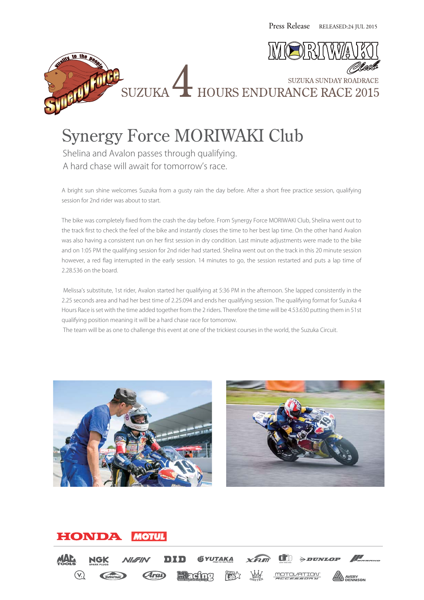



SUZUKA HOURS ENDURANCE RACE 2015

Synergy Force MORIWAKI Club Shelina and Avalon passes through qualifying. A hard chase will await for tomorrow's race.

A bright sun shine welcomes Suzuka from a gusty rain the day before. After a short free practice session, qualifying session for 2nd rider was about to start.

The bike was completely fixed from the crash the day before. From Synergy Force MORIWAKI Club, Shelina went out to the track first to check the feel of the bike and instantly closes the time to her best lap time. On the other hand Avalon was also having a consistent run on her first session in dry condition. Last minute adjustments were made to the bike and on 1:05 PM the qualifying session for 2nd rider had started. Shelina went out on the track in this 20 minute session however, a red flag interrupted in the early session. 14 minutes to go, the session restarted and puts a lap time of 2.28.536 on the board.

 Melissa's substitute, 1st rider, Avalon started her qualifying at 5:36 PM in the afternoon. She lapped consistently in the 2.25 seconds area and had her best time of 2.25.094 and ends her qualifying session. The qualifying format for Suzuka 4 Hours Race is set with the time added together from the 2 riders. Therefore the time will be 4.53.630 putting them in 51st qualifying position meaning it will be a hard chase race for tomorrow.

The team will be as one to challenge this event at one of the trickiest courses in the world, the Suzuka Circuit.





#### HONDA **MOTUL**